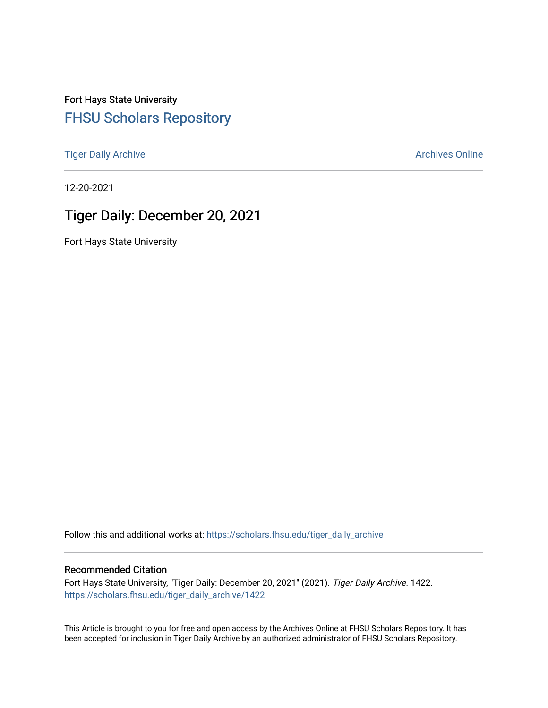Fort Hays State University [FHSU Scholars Repository](https://scholars.fhsu.edu/) 

[Tiger Daily Archive](https://scholars.fhsu.edu/tiger_daily_archive) **Archives** Online Archives Online

12-20-2021

# Tiger Daily: December 20, 2021

Fort Hays State University

Follow this and additional works at: [https://scholars.fhsu.edu/tiger\\_daily\\_archive](https://scholars.fhsu.edu/tiger_daily_archive?utm_source=scholars.fhsu.edu%2Ftiger_daily_archive%2F1422&utm_medium=PDF&utm_campaign=PDFCoverPages)

# Recommended Citation

Fort Hays State University, "Tiger Daily: December 20, 2021" (2021). Tiger Daily Archive. 1422. [https://scholars.fhsu.edu/tiger\\_daily\\_archive/1422](https://scholars.fhsu.edu/tiger_daily_archive/1422?utm_source=scholars.fhsu.edu%2Ftiger_daily_archive%2F1422&utm_medium=PDF&utm_campaign=PDFCoverPages)

This Article is brought to you for free and open access by the Archives Online at FHSU Scholars Repository. It has been accepted for inclusion in Tiger Daily Archive by an authorized administrator of FHSU Scholars Repository.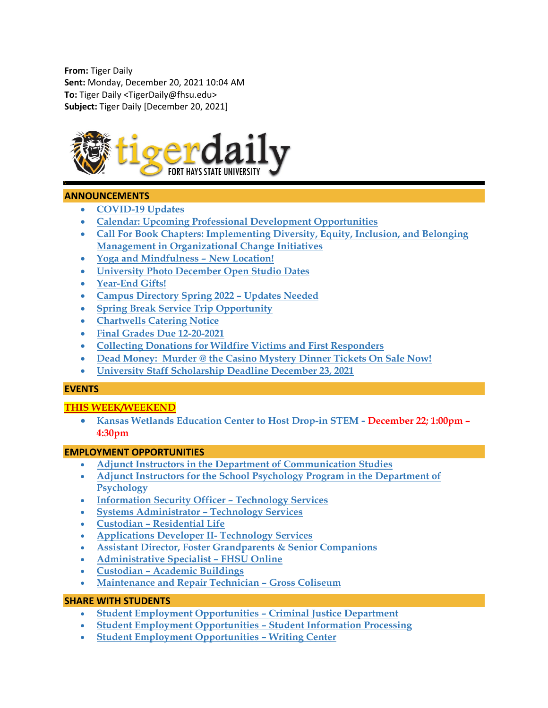**From:** Tiger Daily **Sent:** Monday, December 20, 2021 10:04 AM **To:** Tiger Daily <TigerDaily@fhsu.edu> **Subject:** Tiger Daily [December 20, 2021]



# **ANNOUNCEMENTS**

- **[COVID-19 Updates](#page-2-0)**
- **[Calendar: Upcoming Professional Development Opportunities](#page-2-1)**
- **[Call For Book Chapters: Implementing Diversity, Equity, Inclusion, and Belonging](#page-2-2)  [Management in Organizational Change Initiatives](#page-2-2)**
- **[Yoga and Mindfulness –](#page-2-3) New Location!**
- **[University Photo December Open Studio Dates](#page-2-4)**
- **[Year-End Gifts!](#page-3-0)**
- **[Campus Directory Spring 2022 –](#page-3-1) Updates Needed**
- **[Spring Break Service Trip Opportunity](#page-3-2)**
- **[Chartwells Catering Notice](#page-4-0)**
- **[Final Grades Due 12-20-2021](#page-4-1)**
- **[Collecting Donations for Wildfire Victims and First Responders](#page-4-2)**
- **Dead Money: [Murder @ the Casino Mystery Dinner Tickets On Sale Now!](#page-4-3)**
- **[University Staff Scholarship Deadline December 23, 2021](#page-5-0)**

# **EVENTS**

# **THIS WEEK/WEEKEND**

• **[Kansas Wetlands Education Center to Host Drop-in STEM](#page-5-1) - December 22; 1:00pm – 4:30pm**

# **EMPLOYMENT OPPORTUNITIES**

- **[Adjunct Instructors in the Department of Communication Studies](#page-5-2)**
- **[Adjunct Instructors for the School Psychology Program in the Department of](#page-6-0)  [Psychology](#page-6-0)**
- **[Information Security Officer –](#page-7-0) Technology Services**
- **[Systems Administrator –](#page-7-1) Technology Services**
- **Custodian – [Residential Life](#page-8-0)**
- **[Applications Developer II-](#page-8-1) Technology Services**
- **[Assistant Director, Foster Grandparents & Senior Companions](#page-8-2)**
- **[Administrative Specialist –](#page-9-0) FHSU Online**
- **Custodian – [Academic Buildings](#page-10-0)**
- **[Maintenance and Repair Technician –](#page-10-1) Gross Coliseum**

# **SHARE WITH STUDENTS**

- **[Student Employment Opportunities –](#page-11-0) Criminal Justice Department**
- **[Student Employment Opportunities –](#page-11-1) Student Information Processing**
- **[Student Employment](#page-11-2) Opportunities – Writing Center**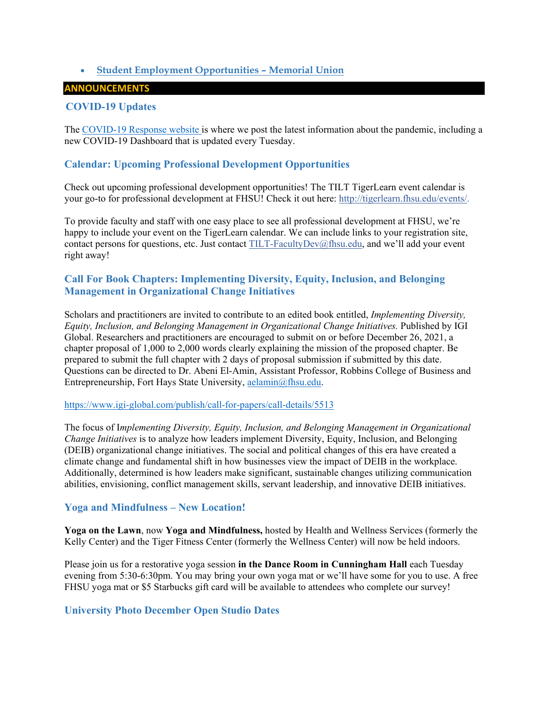# <span id="page-2-0"></span>• **[Student Employment Opportunities –](#page-12-0) Memorial Union**

# **ANNOUNCEMENTS**

# **COVID-19 Updates**

The [COVID-19 Response website](https://www.fhsu.edu/covid-19-response/index) is where we post the latest information about the pandemic, including a new COVID-19 Dashboard that is updated every Tuesday.

# <span id="page-2-1"></span>**Calendar: Upcoming Professional Development Opportunities**

Check out upcoming professional development opportunities! The TILT TigerLearn event calendar is your go-to for professional development at FHSU! Check it out here: [http://tigerlearn.fhsu.edu/events/.](http://tigerlearn.fhsu.edu/events/)

To provide faculty and staff with one easy place to see all professional development at FHSU, we're happy to include your event on the TigerLearn calendar. We can include links to your registration site, contact persons for questions, etc. Just contact [TILT-FacultyDev@fhsu.edu,](mailto:TILT-FacultyDev@fhsu.edu) and we'll add your event right away!

# <span id="page-2-2"></span>**Call For Book Chapters: Implementing Diversity, Equity, Inclusion, and Belonging Management in Organizational Change Initiatives**

Scholars and practitioners are invited to contribute to an edited book entitled, *Implementing Diversity, Equity, Inclusion, and Belonging Management in Organizational Change Initiatives.* Published by IGI Global. Researchers and practitioners are encouraged to submit on or before December 26, 2021, a chapter proposal of 1,000 to 2,000 words clearly explaining the mission of the proposed chapter. Be prepared to submit the full chapter with 2 days of proposal submission if submitted by this date. Questions can be directed to Dr. Abeni El-Amin, Assistant Professor, Robbins College of Business and Entrepreneurship, Fort Hays State University, [aelamin@fhsu.edu.](mailto:aelamin@fhsu.edu)

#### <https://www.igi-global.com/publish/call-for-papers/call-details/5513>

The focus of I*mplementing Diversity, Equity, Inclusion, and Belonging Management in Organizational Change Initiatives* is to analyze how leaders implement Diversity, Equity, Inclusion, and Belonging (DEIB) organizational change initiatives. The social and political changes of this era have created a climate change and fundamental shift in how businesses view the impact of DEIB in the workplace. Additionally, determined is how leaders make significant, sustainable changes utilizing communication abilities, envisioning, conflict management skills, servant leadership, and innovative DEIB initiatives.

# <span id="page-2-3"></span>**Yoga and Mindfulness – New Location!**

**Yoga on the Lawn**, now **Yoga and Mindfulness,** hosted by Health and Wellness Services (formerly the Kelly Center) and the Tiger Fitness Center (formerly the Wellness Center) will now be held indoors.

Please join us for a restorative yoga session **in the Dance Room in Cunningham Hall** each Tuesday evening from 5:30-6:30pm. You may bring your own yoga mat or we'll have some for you to use. A free FHSU yoga mat or \$5 Starbucks gift card will be available to attendees who complete our survey!

# <span id="page-2-4"></span>**University Photo December Open Studio Dates**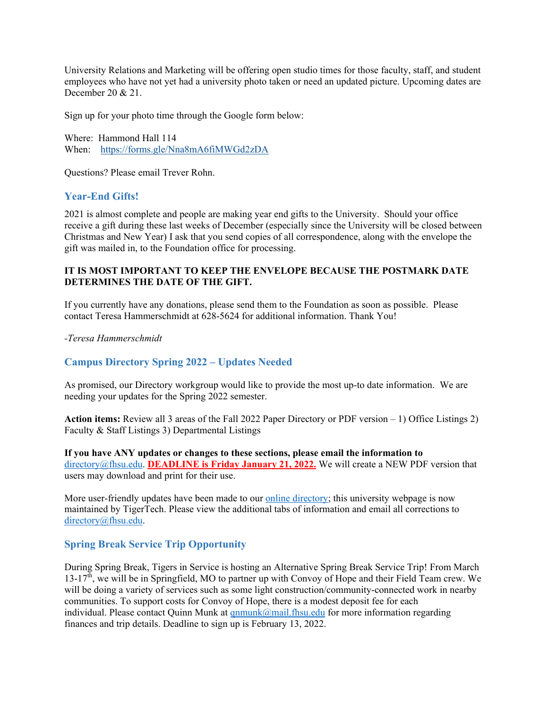University Relations and Marketing will be offering open studio times for those faculty, staff, and student employees who have not yet had a university photo taken or need an updated picture. Upcoming dates are December 20 & 21.

Sign up for your photo time through the Google form below:

Where: Hammond Hall 114 When: <https://forms.gle/Nna8mA6fiMWGd2zDA>

Questions? Please email Trever Rohn.

# <span id="page-3-0"></span>**Year-End Gifts!**

2021 is almost complete and people are making year end gifts to the University. Should your office receive a gift during these last weeks of December (especially since the University will be closed between Christmas and New Year) I ask that you send copies of all correspondence, along with the envelope the gift was mailed in, to the Foundation office for processing.

# **IT IS MOST IMPORTANT TO KEEP THE ENVELOPE BECAUSE THE POSTMARK DATE DETERMINES THE DATE OF THE GIFT.**

If you currently have any donations, please send them to the Foundation as soon as possible. Please contact Teresa Hammerschmidt at 628-5624 for additional information. Thank You!

*-Teresa Hammerschmidt*

# <span id="page-3-1"></span>**Campus Directory Spring 2022 – Updates Needed**

As promised, our Directory workgroup would like to provide the most up-to date information. We are needing your updates for the Spring 2022 semester.

**Action items:** Review all 3 areas of the Fall 2022 Paper Directory or PDF version – 1) Office Listings 2) Faculty & Staff Listings 3) Departmental Listings

**If you have ANY updates or changes to these sections, please email the information to** [directory@fhsu.edu.](mailto:directory@fhsu.edu) **DEADLINE is Friday January 21, 2022.** We will create a NEW PDF version that users may download and print for their use.

More user-friendly updates have been made to our [online directory;](https://www.fhsu.edu/directory/) this university webpage is now maintained by TigerTech. Please view the additional tabs of information and email all corrections to [directory@fhsu.edu.](mailto:directory@fhsu.edu)

# <span id="page-3-2"></span>**Spring Break Service Trip Opportunity**

During Spring Break, Tigers in Service is hosting an Alternative Spring Break Service Trip! From March  $13-17<sup>th</sup>$ , we will be in Springfield, MO to partner up with Convoy of Hope and their Field Team crew. We will be doing a variety of services such as some light construction/community-connected work in nearby communities. To support costs for Convoy of Hope, there is a modest deposit fee for each individual. Please contact Quinn Munk at  $qnmunk@mail.fhsu.edu$  for more information regarding finances and trip details. Deadline to sign up is February 13, 2022.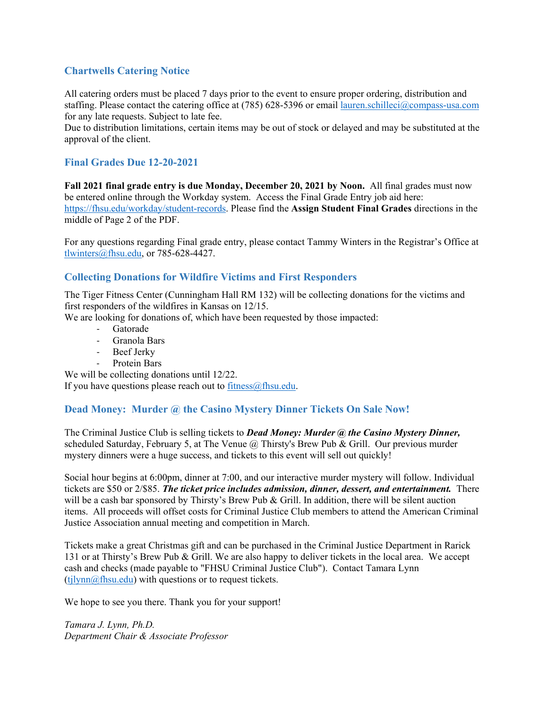# <span id="page-4-0"></span>**Chartwells Catering Notice**

All catering orders must be placed 7 days prior to the event to ensure proper ordering, distribution and staffing. Please contact the catering office at (785) 628-5396 or email [lauren.schilleci@compass-usa.com](mailto:lauren.schilleci@compass-usa.com) for any late requests. Subject to late fee.

Due to distribution limitations, certain items may be out of stock or delayed and may be substituted at the approval of the client.

# <span id="page-4-1"></span>**Final Grades Due 12-20-2021**

**Fall 2021 final grade entry is due Monday, December 20, 2021 by Noon.** All final grades must now be entered online through the Workday system. Access the Final Grade Entry job aid here: [https://fhsu.edu/workday/student-records.](https://fhsu.edu/workday/student-records) Please find the **Assign Student Final Grades** directions in the middle of Page 2 of the PDF.

For any questions regarding Final grade entry, please contact Tammy Winters in the Registrar's Office at [tlwinters@fhsu.edu,](mailto:tlwinters@fhsu.edu) or 785-628-4427.

# <span id="page-4-2"></span>**Collecting Donations for Wildfire Victims and First Responders**

The Tiger Fitness Center (Cunningham Hall RM 132) will be collecting donations for the victims and first responders of the wildfires in Kansas on 12/15.

We are looking for donations of, which have been requested by those impacted:

- Gatorade
- Granola Bars
- Beef Jerky
- <span id="page-4-3"></span>Protein Bars

We will be collecting donations until 12/22.

If you have questions please reach out to  $fitness@f$  hsu.edu.

# **Dead Money: Murder @ the Casino Mystery Dinner Tickets On Sale Now!**

The Criminal Justice Club is selling tickets to *Dead Money: Murder @ the Casino Mystery Dinner,* scheduled Saturday, February 5, at The Venue  $(a)$  Thirsty's Brew Pub & Grill. Our previous murder mystery dinners were a huge success, and tickets to this event will sell out quickly!

Social hour begins at 6:00pm, dinner at 7:00, and our interactive murder mystery will follow. Individual tickets are \$50 or 2/\$85. *The ticket price includes admission, dinner, dessert, and entertainment.* There will be a cash bar sponsored by Thirsty's Brew Pub & Grill. In addition, there will be silent auction items. All proceeds will offset costs for Criminal Justice Club members to attend the American Criminal Justice Association annual meeting and competition in March.

Tickets make a great Christmas gift and can be purchased in the Criminal Justice Department in Rarick 131 or at Thirsty's Brew Pub & Grill. We are also happy to deliver tickets in the local area. We accept cash and checks (made payable to "FHSU Criminal Justice Club"). Contact Tamara Lynn  $(tjlynn@fhsu.edu)$  with questions or to request tickets.

We hope to see you there. Thank you for your support!

*Tamara J. Lynn, Ph.D. Department Chair & Associate Professor*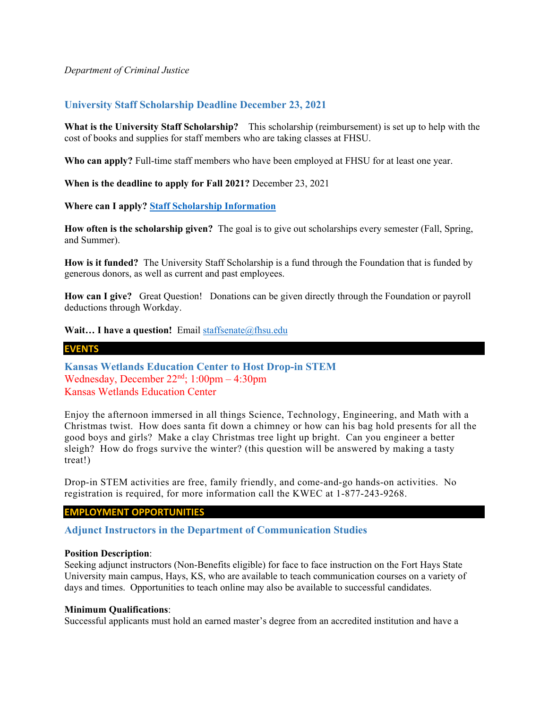### *Department of Criminal Justice*

# <span id="page-5-0"></span>**University Staff Scholarship Deadline December 23, 2021**

**What is the University Staff Scholarship?** This scholarship (reimbursement) is set up to help with the cost of books and supplies for staff members who are taking classes at FHSU.

**Who can apply?** Full-time staff members who have been employed at FHSU for at least one year.

**When is the deadline to apply for Fall 2021?** December 23, 2021

**Where can I apply? [Staff Scholarship Information](https://www.fhsu.edu/staff-senate/staff-scholarship/staff-scholarship-information)**

**How often is the scholarship given?** The goal is to give out scholarships every semester (Fall, Spring, and Summer).

**How is it funded?** The University Staff Scholarship is a fund through the Foundation that is funded by generous donors, as well as current and past employees.

**How can I give?** Great Question! Donations can be given directly through the Foundation or payroll deductions through Workday.

**Wait... I have a question!** Email [staffsenate@fhsu.edu](mailto:staffsenate@fhsu.edu)

# **EVENTS**

<span id="page-5-1"></span>**Kansas Wetlands Education Center to Host Drop-in STEM**  Wednesday, December  $22<sup>nd</sup>$ ;  $1:00<sub>pm</sub> - 4:30<sub>pm</sub>$ Kansas Wetlands Education Center

Enjoy the afternoon immersed in all things Science, Technology, Engineering, and Math with a Christmas twist. How does santa fit down a chimney or how can his bag hold presents for all the good boys and girls? Make a clay Christmas tree light up bright. Can you engineer a better sleigh? How do frogs survive the winter? (this question will be answered by making a tasty treat!)

Drop-in STEM activities are free, family friendly, and come-and-go hands-on activities. No registration is required, for more information call the KWEC at 1-877-243-9268.

# **EMPLOYMENT OPPORTUNITIES**

<span id="page-5-2"></span>**Adjunct Instructors in the Department of Communication Studies**

#### **Position Description**:

Seeking adjunct instructors (Non-Benefits eligible) for face to face instruction on the Fort Hays State University main campus, Hays, KS, who are available to teach communication courses on a variety of days and times. Opportunities to teach online may also be available to successful candidates.

#### **Minimum Qualifications**:

Successful applicants must hold an earned master's degree from an accredited institution and have a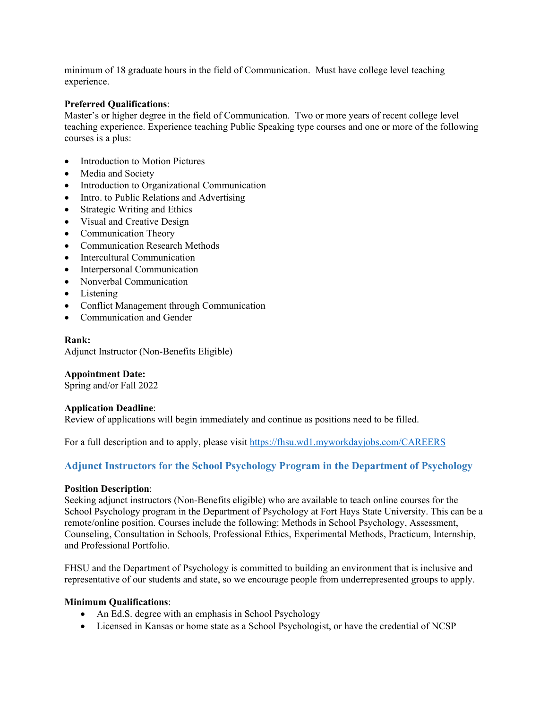minimum of 18 graduate hours in the field of Communication. Must have college level teaching experience.

#### **Preferred Qualifications**:

Master's or higher degree in the field of Communication. Two or more years of recent college level teaching experience. Experience teaching Public Speaking type courses and one or more of the following courses is a plus:

- Introduction to Motion Pictures
- Media and Society
- Introduction to Organizational Communication
- Intro. to Public Relations and Advertising
- Strategic Writing and Ethics
- Visual and Creative Design
- Communication Theory
- Communication Research Methods
- Intercultural Communication
- Interpersonal Communication
- Nonverbal Communication
- Listening
- Conflict Management through Communication
- Communication and Gender

#### **Rank:**

Adjunct Instructor (Non-Benefits Eligible)

**Appointment Date:** Spring and/or Fall 2022

#### **Application Deadline**:

Review of applications will begin immediately and continue as positions need to be filled.

For a full description and to apply, please visit <https://fhsu.wd1.myworkdayjobs.com/CAREERS>

# <span id="page-6-0"></span>**Adjunct Instructors for the School Psychology Program in the Department of Psychology**

#### **Position Description**:

Seeking adjunct instructors (Non-Benefits eligible) who are available to teach online courses for the School Psychology program in the Department of Psychology at Fort Hays State University. This can be a remote/online position. Courses include the following: Methods in School Psychology, Assessment, Counseling, Consultation in Schools, Professional Ethics, Experimental Methods, Practicum, Internship, and Professional Portfolio.

FHSU and the Department of Psychology is committed to building an environment that is inclusive and representative of our students and state, so we encourage people from underrepresented groups to apply.

#### **Minimum Qualifications**:

- An Ed.S. degree with an emphasis in School Psychology
- Licensed in Kansas or home state as a School Psychologist, or have the credential of NCSP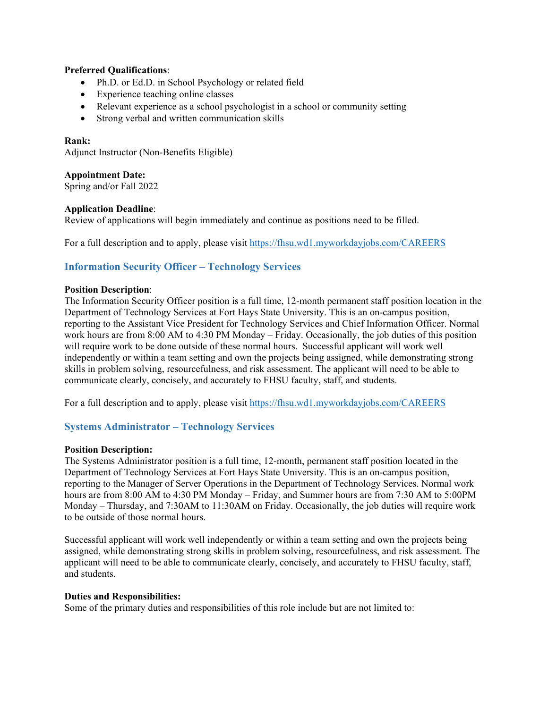# **Preferred Qualifications**:

- Ph.D. or Ed.D. in School Psychology or related field
- Experience teaching online classes
- Relevant experience as a school psychologist in a school or community setting
- Strong verbal and written communication skills

### **Rank:**

Adjunct Instructor (Non-Benefits Eligible)

# **Appointment Date:**

Spring and/or Fall 2022

# **Application Deadline**:

Review of applications will begin immediately and continue as positions need to be filled.

For a full description and to apply, please visit<https://fhsu.wd1.myworkdayjobs.com/CAREERS>

# <span id="page-7-0"></span>**Information Security Officer – Technology Services**

#### **Position Description**:

The Information Security Officer position is a full time, 12-month permanent staff position location in the Department of Technology Services at Fort Hays State University. This is an on-campus position, reporting to the Assistant Vice President for Technology Services and Chief Information Officer. Normal work hours are from 8:00 AM to 4:30 PM Monday – Friday. Occasionally, the job duties of this position will require work to be done outside of these normal hours. Successful applicant will work well independently or within a team setting and own the projects being assigned, while demonstrating strong skills in problem solving, resourcefulness, and risk assessment. The applicant will need to be able to communicate clearly, concisely, and accurately to FHSU faculty, staff, and students.

For a full description and to apply, please visit<https://fhsu.wd1.myworkdayjobs.com/CAREERS>

# <span id="page-7-1"></span>**Systems Administrator – Technology Services**

# **Position Description:**

The Systems Administrator position is a full time, 12-month, permanent staff position located in the Department of Technology Services at Fort Hays State University. This is an on-campus position, reporting to the Manager of Server Operations in the Department of Technology Services. Normal work hours are from 8:00 AM to 4:30 PM Monday – Friday, and Summer hours are from 7:30 AM to 5:00PM Monday – Thursday, and 7:30AM to 11:30AM on Friday. Occasionally, the job duties will require work to be outside of those normal hours.

Successful applicant will work well independently or within a team setting and own the projects being assigned, while demonstrating strong skills in problem solving, resourcefulness, and risk assessment. The applicant will need to be able to communicate clearly, concisely, and accurately to FHSU faculty, staff, and students.

#### **Duties and Responsibilities:**

Some of the primary duties and responsibilities of this role include but are not limited to: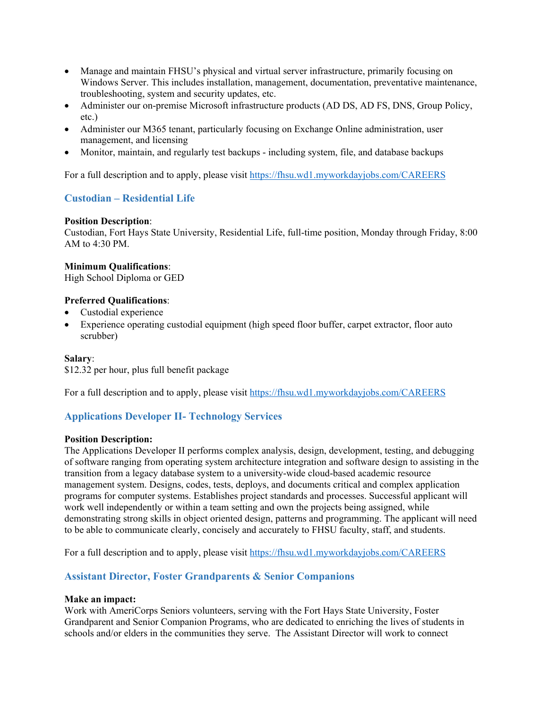- Manage and maintain FHSU's physical and virtual server infrastructure, primarily focusing on Windows Server. This includes installation, management, documentation, preventative maintenance, troubleshooting, system and security updates, etc.
- Administer our on-premise Microsoft infrastructure products (AD DS, AD FS, DNS, Group Policy, etc.)
- Administer our M365 tenant, particularly focusing on Exchange Online administration, user management, and licensing
- Monitor, maintain, and regularly test backups including system, file, and database backups

For a full description and to apply, please visit<https://fhsu.wd1.myworkdayjobs.com/CAREERS>

# <span id="page-8-0"></span>**Custodian – Residential Life**

# **Position Description**:

Custodian, Fort Hays State University, Residential Life, full-time position, Monday through Friday, 8:00 AM to 4:30 PM.

# **Minimum Qualifications**:

High School Diploma or GED

# **Preferred Qualifications**:

- Custodial experience
- Experience operating custodial equipment (high speed floor buffer, carpet extractor, floor auto scrubber)

# **Salary**:

\$12.32 per hour, plus full benefit package

For a full description and to apply, please visit<https://fhsu.wd1.myworkdayjobs.com/CAREERS>

# <span id="page-8-1"></span>**Applications Developer II- Technology Services**

# **Position Description:**

The Applications Developer II performs complex analysis, design, development, testing, and debugging of software ranging from operating system architecture integration and software design to assisting in the transition from a legacy database system to a university-wide cloud-based academic resource management system. Designs, codes, tests, deploys, and documents critical and complex application programs for computer systems. Establishes project standards and processes. Successful applicant will work well independently or within a team setting and own the projects being assigned, while demonstrating strong skills in object oriented design, patterns and programming. The applicant will need to be able to communicate clearly, concisely and accurately to FHSU faculty, staff, and students.

For a full description and to apply, please visit<https://fhsu.wd1.myworkdayjobs.com/CAREERS>

# <span id="page-8-2"></span>**Assistant Director, Foster Grandparents & Senior Companions**

# **Make an impact:**

Work with AmeriCorps Seniors volunteers, serving with the Fort Hays State University, Foster Grandparent and Senior Companion Programs, who are dedicated to enriching the lives of students in schools and/or elders in the communities they serve. The Assistant Director will work to connect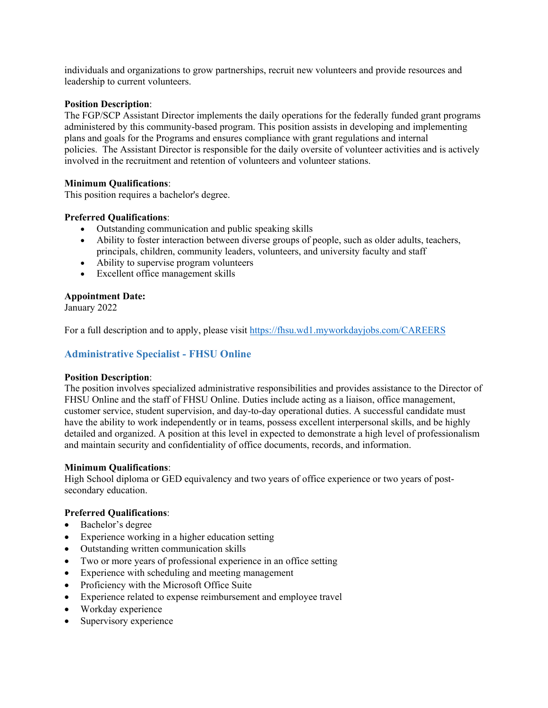individuals and organizations to grow partnerships, recruit new volunteers and provide resources and leadership to current volunteers.

### **Position Description**:

The FGP/SCP Assistant Director implements the daily operations for the federally funded grant programs administered by this community-based program. This position assists in developing and implementing plans and goals for the Programs and ensures compliance with grant regulations and internal policies. The Assistant Director is responsible for the daily oversite of volunteer activities and is actively involved in the recruitment and retention of volunteers and volunteer stations.

# **Minimum Qualifications**:

This position requires a bachelor's degree.

# **Preferred Qualifications**:

- Outstanding communication and public speaking skills
- Ability to foster interaction between diverse groups of people, such as older adults, teachers, principals, children, community leaders, volunteers, and university faculty and staff
- Ability to supervise program volunteers
- Excellent office management skills

# **Appointment Date:**

January 2022

For a full description and to apply, please visit<https://fhsu.wd1.myworkdayjobs.com/CAREERS>

# <span id="page-9-0"></span>**Administrative Specialist - FHSU Online**

# **Position Description**:

The position involves specialized administrative responsibilities and provides assistance to the Director of FHSU Online and the staff of FHSU Online. Duties include acting as a liaison, office management, customer service, student supervision, and day-to-day operational duties. A successful candidate must have the ability to work independently or in teams, possess excellent interpersonal skills, and be highly detailed and organized. A position at this level in expected to demonstrate a high level of professionalism and maintain security and confidentiality of office documents, records, and information.

# **Minimum Qualifications**:

High School diploma or GED equivalency and two years of office experience or two years of postsecondary education.

# **Preferred Qualifications**:

- Bachelor's degree
- Experience working in a higher education setting
- Outstanding written communication skills
- Two or more years of professional experience in an office setting
- Experience with scheduling and meeting management
- Proficiency with the Microsoft Office Suite
- Experience related to expense reimbursement and employee travel
- Workday experience
- Supervisory experience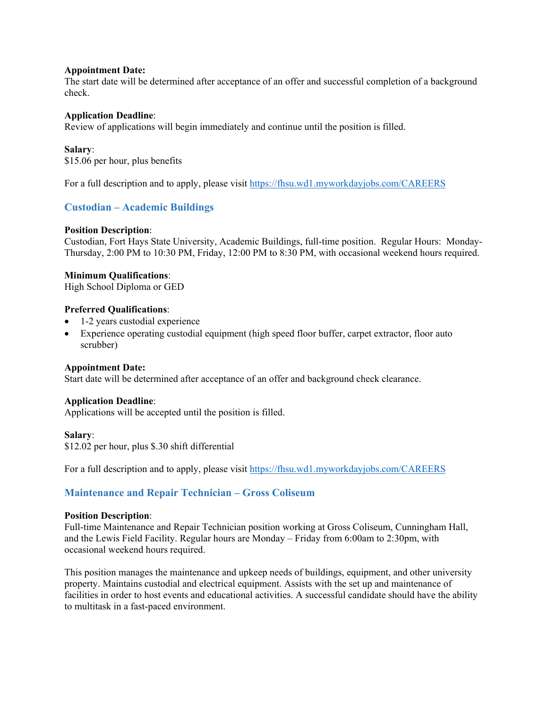#### **Appointment Date:**

The start date will be determined after acceptance of an offer and successful completion of a background check.

#### **Application Deadline**:

Review of applications will begin immediately and continue until the position is filled.

#### **Salary**:

\$15.06 per hour, plus benefits

For a full description and to apply, please visit<https://fhsu.wd1.myworkdayjobs.com/CAREERS>

# <span id="page-10-0"></span>**Custodian – Academic Buildings**

#### **Position Description**:

Custodian, Fort Hays State University, Academic Buildings, full-time position. Regular Hours: Monday-Thursday, 2:00 PM to 10:30 PM, Friday, 12:00 PM to 8:30 PM, with occasional weekend hours required.

#### **Minimum Qualifications**:

High School Diploma or GED

#### **Preferred Qualifications**:

- 1-2 years custodial experience
- Experience operating custodial equipment (high speed floor buffer, carpet extractor, floor auto scrubber)

#### **Appointment Date:**

Start date will be determined after acceptance of an offer and background check clearance.

# **Application Deadline**:

Applications will be accepted until the position is filled.

#### **Salary**:

\$12.02 per hour, plus \$.30 shift differential

For a full description and to apply, please visit<https://fhsu.wd1.myworkdayjobs.com/CAREERS>

# <span id="page-10-1"></span>**Maintenance and Repair Technician – Gross Coliseum**

#### **Position Description**:

Full-time Maintenance and Repair Technician position working at Gross Coliseum, Cunningham Hall, and the Lewis Field Facility. Regular hours are Monday – Friday from 6:00am to 2:30pm, with occasional weekend hours required.

This position manages the maintenance and upkeep needs of buildings, equipment, and other university property. Maintains custodial and electrical equipment. Assists with the set up and maintenance of facilities in order to host events and educational activities. A successful candidate should have the ability to multitask in a fast-paced environment.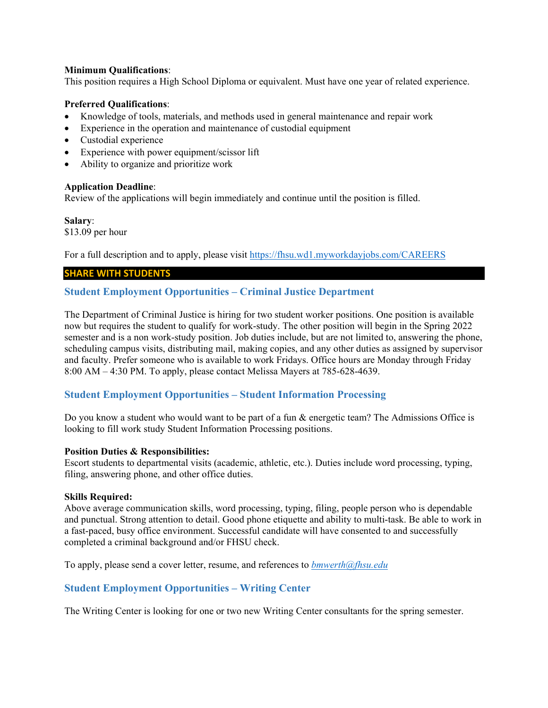# **Minimum Qualifications**:

This position requires a High School Diploma or equivalent. Must have one year of related experience.

#### **Preferred Qualifications**:

- Knowledge of tools, materials, and methods used in general maintenance and repair work
- Experience in the operation and maintenance of custodial equipment
- Custodial experience
- Experience with power equipment/scissor lift
- Ability to organize and prioritize work

#### **Application Deadline**:

Review of the applications will begin immediately and continue until the position is filled.

#### **Salary**:

\$13.09 per hour

For a full description and to apply, please visit<https://fhsu.wd1.myworkdayjobs.com/CAREERS>

# **SHARE WITH STUDENTS**

# <span id="page-11-0"></span>**Student Employment Opportunities – Criminal Justice Department**

The Department of Criminal Justice is hiring for two student worker positions. One position is available now but requires the student to qualify for work-study. The other position will begin in the Spring 2022 semester and is a non work-study position. Job duties include, but are not limited to, answering the phone, scheduling campus visits, distributing mail, making copies, and any other duties as assigned by supervisor and faculty. Prefer someone who is available to work Fridays. Office hours are Monday through Friday 8:00 AM – 4:30 PM. To apply, please contact Melissa Mayers at 785-628-4639.

# <span id="page-11-1"></span>**Student Employment Opportunities – Student Information Processing**

Do you know a student who would want to be part of a fun & energetic team? The Admissions Office is looking to fill work study Student Information Processing positions.

#### **Position Duties & Responsibilities:**

Escort students to departmental visits (academic, athletic, etc.). Duties include word processing, typing, filing, answering phone, and other office duties.

# **Skills Required:**

Above average communication skills, word processing, typing, filing, people person who is dependable and punctual. Strong attention to detail. Good phone etiquette and ability to multi-task. Be able to work in a fast-paced, busy office environment. Successful candidate will have consented to and successfully completed a criminal background and/or FHSU check.

To apply, please send a cover letter, resume, and references to *[bmwerth@fhsu.edu](mailto:bmwerth@fhsu.edu)*

# <span id="page-11-2"></span>**Student Employment Opportunities – Writing Center**

The Writing Center is looking for one or two new Writing Center consultants for the spring semester.